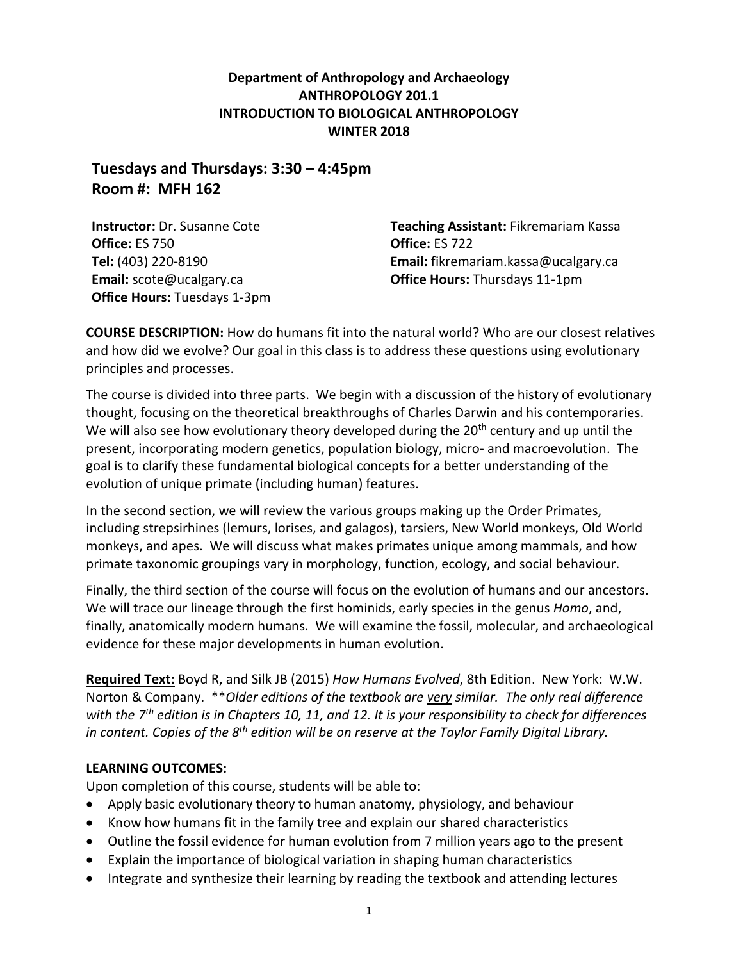**Department of Anthropology and Archaeology ANTHROPOLOGY 201.1 INTRODUCTION TO BIOLOGICAL ANTHROPOLOGY WINTER 2018**

**Tuesdays and Thursdays: 3:30 – 4:45pm Room #: MFH 162**

**Instructor:** Dr. Susanne Cote **Office:** ES 750 **Tel:** (403) 220-8190 **Email:** scote@ucalgary.ca **Office Hours:** Tuesdays 1-3pm **Teaching Assistant:** Fikremariam Kassa **Office:** ES 722 **Email:** fikremariam.kassa@ucalgary.ca **Office Hours:** Thursdays 11-1pm

**COURSE DESCRIPTION:** How do humans fit into the natural world? Who are our closest relatives and how did we evolve? Our goal in this class is to address these questions using evolutionary principles and processes.

The course is divided into three parts. We begin with a discussion of the history of evolutionary thought, focusing on the theoretical breakthroughs of Charles Darwin and his contemporaries. We will also see how evolutionary theory developed during the 20<sup>th</sup> century and up until the present, incorporating modern genetics, population biology, micro- and macroevolution. The goal is to clarify these fundamental biological concepts for a better understanding of the evolution of unique primate (including human) features.

In the second section, we will review the various groups making up the Order Primates, including strepsirhines (lemurs, lorises, and galagos), tarsiers, New World monkeys, Old World monkeys, and apes. We will discuss what makes primates unique among mammals, and how primate taxonomic groupings vary in morphology, function, ecology, and social behaviour.

Finally, the third section of the course will focus on the evolution of humans and our ancestors. We will trace our lineage through the first hominids, early species in the genus *Homo*, and, finally, anatomically modern humans. We will examine the fossil, molecular, and archaeological evidence for these major developments in human evolution.

**Required Text:** Boyd R, and Silk JB (2015) *How Humans Evolved*, 8th Edition. New York: W.W. Norton & Company. \*\**Older editions of the textbook are very similar. The only real difference with the 7th edition is in Chapters 10, 11, and 12. It is your responsibility to check for differences in content. Copies of the 8th edition will be on reserve at the Taylor Family Digital Library.* 

# **LEARNING OUTCOMES:**

Upon completion of this course, students will be able to:

- Apply basic evolutionary theory to human anatomy, physiology, and behaviour
- Know how humans fit in the family tree and explain our shared characteristics
- Outline the fossil evidence for human evolution from 7 million years ago to the present
- Explain the importance of biological variation in shaping human characteristics
- Integrate and synthesize their learning by reading the textbook and attending lectures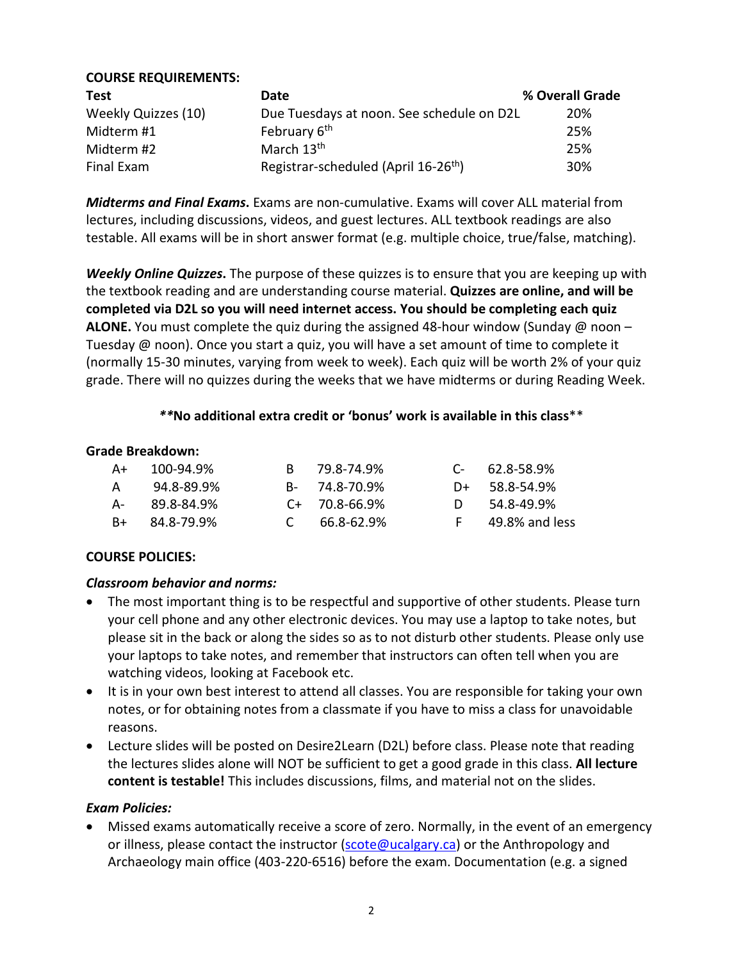| <b>COURSE REQUIREMENTS:</b> |                                                  |                 |
|-----------------------------|--------------------------------------------------|-----------------|
| <b>Test</b>                 | Date                                             | % Overall Grade |
| Weekly Quizzes (10)         | Due Tuesdays at noon. See schedule on D2L        | <b>20%</b>      |
| Midterm #1                  | February 6 <sup>th</sup>                         | 25%             |
| Midterm #2                  | March 13 <sup>th</sup>                           | 25%             |
| Final Exam                  | Registrar-scheduled (April 16-26 <sup>th</sup> ) | 30%             |

*Midterms and Final Exams***.** Exams are non-cumulative. Exams will cover ALL material from lectures, including discussions, videos, and guest lectures. ALL textbook readings are also testable. All exams will be in short answer format (e.g. multiple choice, true/false, matching).

*Weekly Online Quizzes***.** The purpose of these quizzes is to ensure that you are keeping up with the textbook reading and are understanding course material. **Quizzes are online, and will be completed via D2L so you will need internet access. You should be completing each quiz ALONE.** You must complete the quiz during the assigned 48-hour window (Sunday @ noon – Tuesday @ noon). Once you start a quiz, you will have a set amount of time to complete it (normally 15-30 minutes, varying from week to week). Each quiz will be worth 2% of your quiz grade. There will no quizzes during the weeks that we have midterms or during Reading Week.

#### *\*\****No additional extra credit or 'bonus' work is available in this class**\*\*

#### **Grade Breakdown:**

| A+ | 100-94.9%  |                                 | B 79.8-74.9%    | $C = 62.8 - 58.9\%$ |
|----|------------|---------------------------------|-----------------|---------------------|
| A  | 94.8-89.9% |                                 | B- 74.8-70.9%   | $D+$ 58.8-54.9%     |
| А- | 89.8-84.9% |                                 | $C+ 70.8-66.9%$ | 54.8-49.9%          |
| B+ | 84.8-79.9% | $\mathcal{C}$ and $\mathcal{C}$ | 66.8-62.9%      | 49.8% and less      |

# **COURSE POLICIES:**

#### *Classroom behavior and norms:*

- The most important thing is to be respectful and supportive of other students. Please turn your cell phone and any other electronic devices. You may use a laptop to take notes, but please sit in the back or along the sides so as to not disturb other students. Please only use your laptops to take notes, and remember that instructors can often tell when you are watching videos, looking at Facebook etc.
- It is in your own best interest to attend all classes. You are responsible for taking your own notes, or for obtaining notes from a classmate if you have to miss a class for unavoidable reasons.
- Lecture slides will be posted on Desire2Learn (D2L) before class. Please note that reading the lectures slides alone will NOT be sufficient to get a good grade in this class. **All lecture content is testable!** This includes discussions, films, and material not on the slides.

#### *Exam Policies:*

• Missed exams automatically receive a score of zero. Normally, in the event of an emergency or illness, please contact the instructor ( $\text{score@ucalgary.ca}$ ) or the Anthropology and Archaeology main office (403-220-6516) before the exam. Documentation (e.g. a signed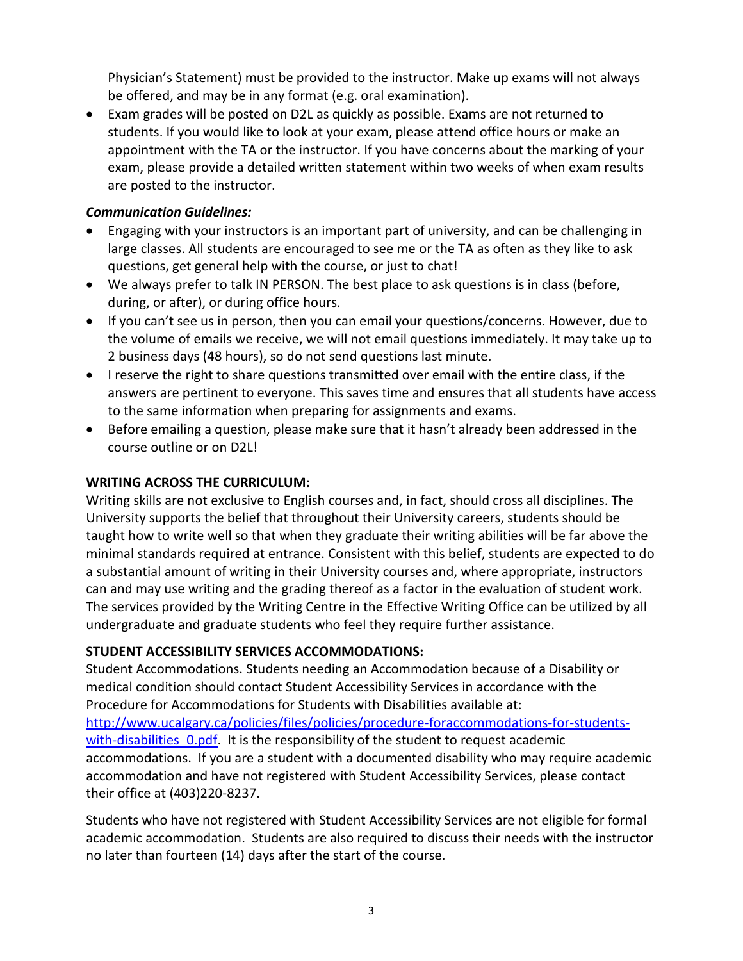Physician's Statement) must be provided to the instructor. Make up exams will not always be offered, and may be in any format (e.g. oral examination).

• Exam grades will be posted on D2L as quickly as possible. Exams are not returned to students. If you would like to look at your exam, please attend office hours or make an appointment with the TA or the instructor. If you have concerns about the marking of your exam, please provide a detailed written statement within two weeks of when exam results are posted to the instructor.

#### *Communication Guidelines:*

- Engaging with your instructors is an important part of university, and can be challenging in large classes. All students are encouraged to see me or the TA as often as they like to ask questions, get general help with the course, or just to chat!
- We always prefer to talk IN PERSON. The best place to ask questions is in class (before, during, or after), or during office hours.
- If you can't see us in person, then you can email your questions/concerns. However, due to the volume of emails we receive, we will not email questions immediately. It may take up to 2 business days (48 hours), so do not send questions last minute.
- I reserve the right to share questions transmitted over email with the entire class, if the answers are pertinent to everyone. This saves time and ensures that all students have access to the same information when preparing for assignments and exams.
- Before emailing a question, please make sure that it hasn't already been addressed in the course outline or on D2L!

#### **WRITING ACROSS THE CURRICULUM:**

Writing skills are not exclusive to English courses and, in fact, should cross all disciplines. The University supports the belief that throughout their University careers, students should be taught how to write well so that when they graduate their writing abilities will be far above the minimal standards required at entrance. Consistent with this belief, students are expected to do a substantial amount of writing in their University courses and, where appropriate, instructors can and may use writing and the grading thereof as a factor in the evaluation of student work. The services provided by the Writing Centre in the Effective Writing Office can be utilized by all undergraduate and graduate students who feel they require further assistance.

# **STUDENT ACCESSIBILITY SERVICES ACCOMMODATIONS:**

Student Accommodations. Students needing an Accommodation because of a Disability or medical condition should contact Student Accessibility Services in accordance with the Procedure for Accommodations for Students with Disabilities available at: [http://www.ucalgary.ca/policies/files/policies/procedure-foraccommodations-for-students](http://www.ucalgary.ca/policies/files/policies/procedure-foraccommodations-for-students-with-disabilities_0.pdf)with-disabilities 0.pdf. It is the responsibility of the student to request academic accommodations. If you are a student with a documented disability who may require academic accommodation and have not registered with Student Accessibility Services, please contact their office at (403)220-8237.

Students who have not registered with Student Accessibility Services are not eligible for formal academic accommodation. Students are also required to discuss their needs with the instructor no later than fourteen (14) days after the start of the course.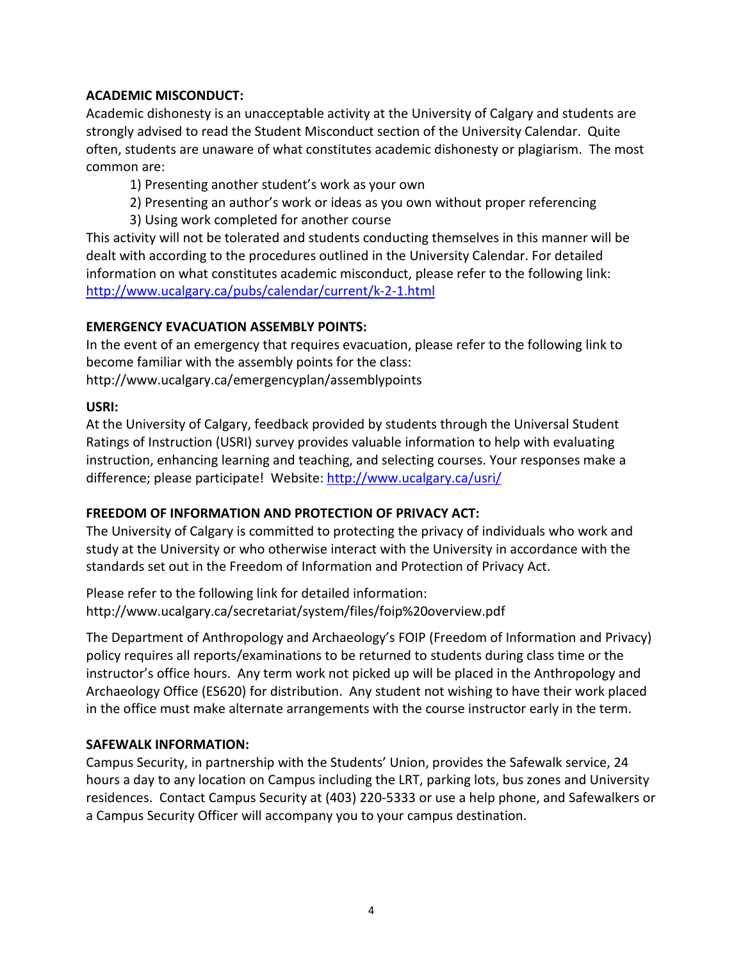# **ACADEMIC MISCONDUCT:**

Academic dishonesty is an unacceptable activity at the University of Calgary and students are strongly advised to read the Student Misconduct section of the University Calendar. Quite often, students are unaware of what constitutes academic dishonesty or plagiarism. The most common are:

1) Presenting another student's work as your own

2) Presenting an author's work or ideas as you own without proper referencing 3) Using work completed for another course

This activity will not be tolerated and students conducting themselves in this manner will be dealt with according to the procedures outlined in the University Calendar. For detailed information on what constitutes academic misconduct, please refer to the following link: <http://www.ucalgary.ca/pubs/calendar/current/k-2-1.html>

# **EMERGENCY EVACUATION ASSEMBLY POINTS:**

In the event of an emergency that requires evacuation, please refer to the following link to become familiar with the assembly points for the class:

http://www.ucalgary.ca/emergencyplan/assemblypoints

# **USRI:**

At the University of Calgary, feedback provided by students through the Universal Student Ratings of Instruction (USRI) survey provides valuable information to help with evaluating instruction, enhancing learning and teaching, and selecting courses. Your responses make a difference; please participate! Website:<http://www.ucalgary.ca/usri/>

# **FREEDOM OF INFORMATION AND PROTECTION OF PRIVACY ACT:**

The University of Calgary is committed to protecting the privacy of individuals who work and study at the University or who otherwise interact with the University in accordance with the standards set out in the Freedom of Information and Protection of Privacy Act.

Please refer to the following link for detailed information: http://www.ucalgary.ca/secretariat/system/files/foip%20overview.pdf

The Department of Anthropology and Archaeology's FOIP (Freedom of Information and Privacy) policy requires all reports/examinations to be returned to students during class time or the instructor's office hours. Any term work not picked up will be placed in the Anthropology and Archaeology Office (ES620) for distribution. Any student not wishing to have their work placed in the office must make alternate arrangements with the course instructor early in the term.

# **SAFEWALK INFORMATION:**

Campus Security, in partnership with the Students' Union, provides the Safewalk service, 24 hours a day to any location on Campus including the LRT, parking lots, bus zones and University residences. Contact Campus Security at (403) 220-5333 or use a help phone, and Safewalkers or a Campus Security Officer will accompany you to your campus destination.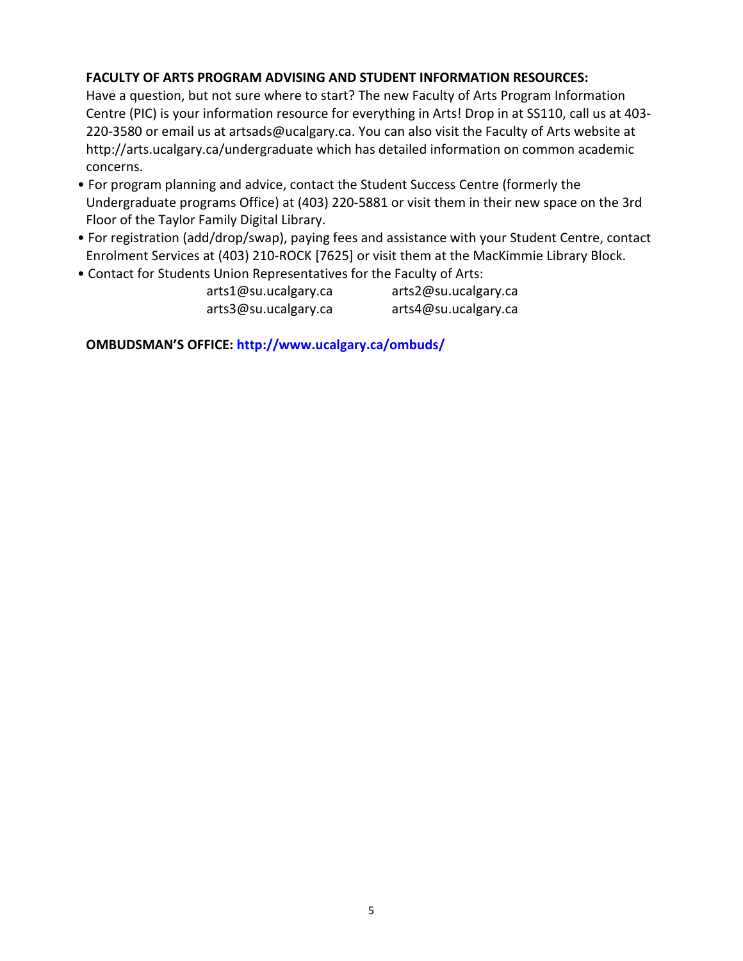# **FACULTY OF ARTS PROGRAM ADVISING AND STUDENT INFORMATION RESOURCES:**

Have a question, but not sure where to start? The new Faculty of Arts Program Information Centre (PIC) is your information resource for everything in Arts! Drop in at SS110, call us at 403- 220-3580 or email us at artsads@ucalgary.ca. You can also visit the Faculty of Arts website at http://arts.ucalgary.ca/undergraduate which has detailed information on common academic concerns.

- For program planning and advice, contact the Student Success Centre (formerly the Undergraduate programs Office) at (403) 220-5881 or visit them in their new space on the 3rd Floor of the Taylor Family Digital Library.
- For registration (add/drop/swap), paying fees and assistance with your Student Centre, contact Enrolment Services at (403) 210-ROCK [7625] or visit them at the MacKimmie Library Block.
- Contact for Students Union Representatives for the Faculty of Arts:

| arts1@su.ucalgary.ca | arts2@su.ucalgary.ca |
|----------------------|----------------------|
| arts3@su.ucalgary.ca | arts4@su.ucalgary.ca |

**OMBUDSMAN'S OFFICE: http://www.ucalgary.ca/ombuds/**